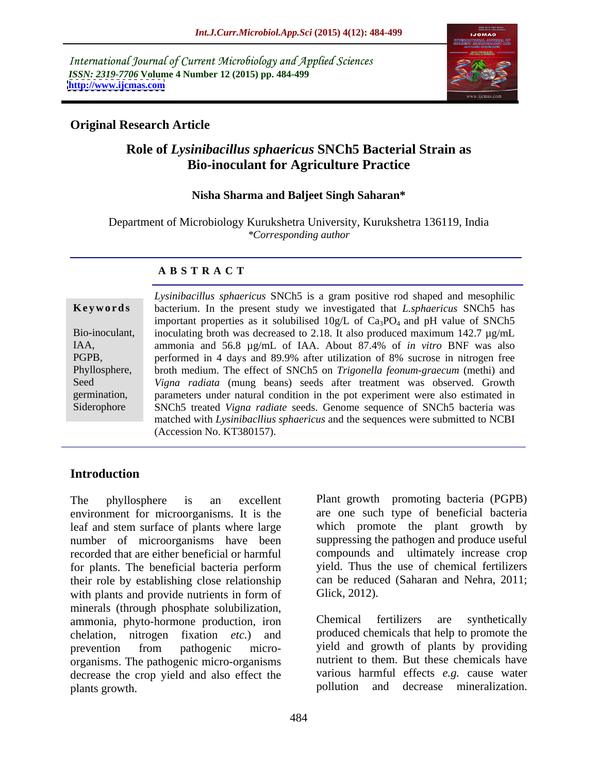International Journal of Current Microbiology and Applied Sciences *ISSN: 2319-7706* **Volume 4 Number 12 (2015) pp. 484-499 <http://www.ijcmas.com>**



### **Original Research Article**

### **Role of** *Lysinibacillus sphaericus* **SNCh5 Bacterial Strain as Bio-inoculant for Agriculture Practice**

#### **Nisha Sharma and Baljeet Singh Saharan\***

Department of Microbiology Kurukshetra University, Kurukshetra 136119, India *\*Corresponding author*

#### **A B S T R A C T**

Siderophore

*Lysinibacillus sphaericus* SNCh5 is a gram positive rod shaped and mesophilic **Keywords** bacterium. In the present study we investigated that *L.sphaericus* SNCh5 has important properties as it solubilised  $10g/L$  of  $Ca<sub>3</sub>PO<sub>4</sub>$  and pH value of SNCh5 Bio-inoculant, inoculating broth was decreased to 2.18. It also produced maximum 142.7  $\mu$ g/mL ammonia and 56.8 µg/mL of IAA. About 87.4% of *in vitro* BNF was also IAA, performed in 4 days and 89.9% after utilization of 8% sucrose in nitrogen free PGPB, Phyllosphere, broth medium. The effect of SNCh5 on *Trigonella feonum-graecum* (methi) and *Vigna radiata* (mung beans) seeds after treatment was observed. Growth Seed germination, parameters under natural condition in the pot experiment were also estimated in SNCh5 treated *Vigna radiate* seeds. Genome sequence of SNCh5 bacteria was matched with *Lysinibacllius sphaericus* and the sequences were submitted to NCBI (Accession No. KT380157).

### **Introduction**

environment for microorganisms. It is the leaf and stem surface of plants where large which promote the plant growth by number of microorganisms have been recorded that are either beneficial or harmful compounds and ultimately increase crop for plants. The beneficial bacteria perform their role by establishing close relationship with plants and provide nutrients in form of minerals (through phosphate solubilization,<br>
ammonia phyto-hormone production iron Chemical fertilizers are synthetically ammonia, phyto-hormone production, iron chelation, nitrogen fixation *etc.*) and produced chemicals that help to promote the prevention from pathogenic micro- yield and growth of plants by providing organisms. The pathogenic micro-organisms decrease the crop yield and also effect the plants growth. pollution and decrease mineralization.

The phyllosphere is an excellent Plant growth promoting bacteria (PGPB) are one such type of beneficial bacteria suppressing the pathogen and produce useful yield. Thus the use of chemical fertilizers can be reduced (Saharan and Nehra, 2011; Glick, 2012).

> Chemical fertilizers are synthetically yield and growth of plants by providing nutrient to them. But these chemicals have various harmful effects *e.g.* cause water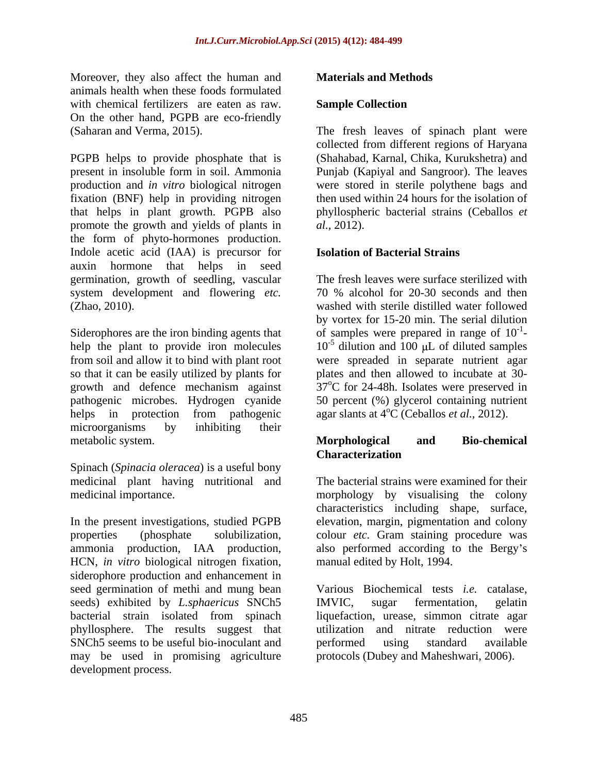Moreover, they also affect the human and **Materials and Methods** animals health when these foods formulated with chemical fertilizers are eaten as raw. Sample Collection On the other hand, PGPB are eco-friendly

PGPB helps to provide phosphate that is (Shahabad, Karnal,Chika, Kurukshetra) and present in insoluble form in soil. Ammonia Punjab (Kapiyal and Sangroor). The leaves production and *in vitro* biological nitrogen were stored in sterile polythene bags and fixation (BNF) help in providing nitrogen that helps in plant growth. PGPB also phyllospheric bacterial strains (Ceballos *et*  promote the growth and yields of plants in *al.*, 2012). the form of phyto-hormones production. Indole acetic acid (IAA) is precursor for auxin hormone that helps in seed germination, growth of seedling, vascular system development and flowering *etc*. 70 % alcohol for 20-30 seconds and then

Siderophores are the iron binding agents that  $\qquad \text{of samples were prepared in range of } 10^{-1}$ help the plant to provide iron molecules  $10^{-5}$  dilution and  $100 \mu$ L of diluted samples from soil and allow it to bind with plant root were spreaded in separate nutrient agar so that it can be easily utilized by plants for growth and defence mechanism against pathogenic microbes. Hydrogen cyanide 50 percent (%) glycerol containing nutrient helps in protection from pathogenic agar slants at 4<sup>o</sup>C (Ceballos *et al.*, 2012). microorganisms by inhibiting their metabolic system. **Morphological** and Bio-chemical

Spinach (*Spinacia oleracea*) is a useful bony medicinal plant having nutritional and

In the present investigations, studied PGPB elevation, margin, pigmentation and colony properties (phosphate solubilization, colour *etc.* Gram staining procedure was ammonia production, IAA production, HCN, *in vitro* biological nitrogen fixation, siderophore production and enhancement in seed germination of methi and mung bean seeds) exhibited by *L.sphaericus* SNCh5 IMVIC, sugar fermentation, gelatin bacterial strain isolated from spinach phyllosphere. The results suggest that utilization and nitrate reduction were SNCh5 seems to be useful bio-inoculant and performed using standard available may be used in promising agriculture Morecover, they show first: the hundra and **Materials and Methods**<br>Morecover, they also affect the bunden and the materials and Methods<br>variable between development center as even, **Sample Collection**<br>(Salindos). The feed

#### **Sample Collection**

(Saharan and Verma, 2015). The fresh leaves of spinach plant were collected from different regions of Haryana then used within 24 hours for the isolation of *al.,* 2012).

#### **Isolation of Bacterial Strains**

(Zhao, 2010). washed with sterile distilled water followed The fresh leaves were surface sterilized with 70 % alcohol for 20-30 seconds and then by vortex for 15-20 min. The serial dilution -1 plates and then allowed to incubate at 30-  $37^{\circ}$ C for 24-48h. Isolates were preserved in agar slants at 4<sup>o</sup>C (Ceballos *et al.*, 2012).

### **Morphological and Bio-chemical Characterization**

medicinal importance. morphology by visualising the colony The bacterial strains were examined for their characteristics including shape, surface, also performed according to the Bergy's manual edited by Holt, 1994.

> Various Biochemical tests *i.e.* catalase, IMVIC, sugar fermentation, gelatin liquefaction, urease, simmon citrate agar performed using standard available protocols (Dubey and Maheshwari, 2006).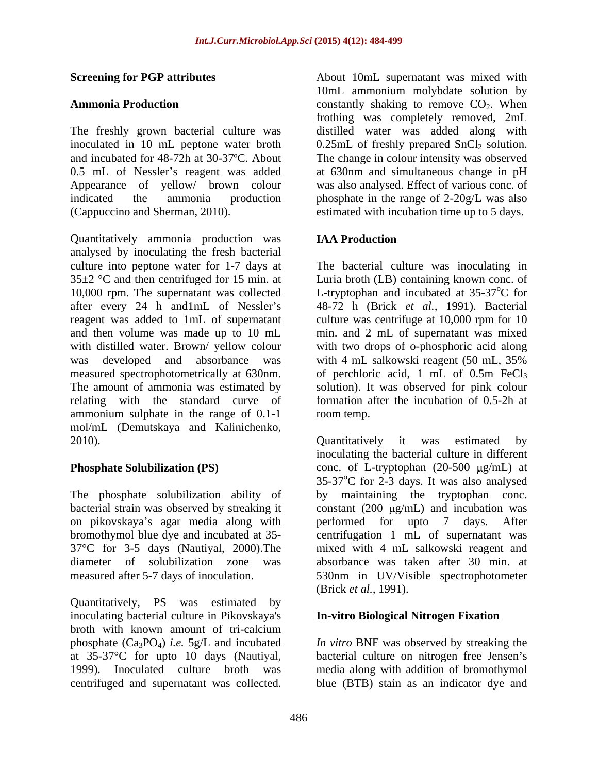The freshly grown bacterial culture was and incubated for 48-72h at 30-37ºC. About (Cappuccino and Sherman, 2010). estimated with incubation time up to 5 days.

Quantitatively ammonia production was analysed by inoculating the fresh bacterial culture into peptone water for 1-7 days at The bacterial culture was inoculating in  $35\pm2$  °C and then centrifuged for 15 min. at Luria broth (LB) containing known conc. of 10,000 rpm. The supernatant was collected L-tryptophan and incubated at 35-37°C for after every 24 h and1mL of Nessler's reagent was added to 1mL of supernatant culture was centrifuge at 10,000 rpm for 10 and then volume was made up to 10 mL min. and 2 mL of supernatant was mixed with distilled water. Brown/ yellow colour with two drops of o-phosphoric acid along was developed and absorbance was with 4 mL salkowski reagent (50 mL, 35%) measured spectrophotometrically at 630nm. The amount of ammonia was estimated by solution). It was observed for pink colour relating with the standard curve of formation after the incubation of 0.5-2h at ammonium sulphate in the range of 0.1-1 mol/mL (Demutskaya and Kalinichenko, 2010). Cuantitatively it was estimated by **Eventing for PGF attributes** (and their summarial was mixed with the constant with the collection of Co. When the collected and supernature in 10 mL supernature collected. Supernature in the mixed with the collected supe

on pikovskaya's agar media along with performed for upto 7 days. After diameter of solubilization zone was

Quantitatively, PS was estimated by inoculating bacterial culture in Pikovskaya's broth with known amount of tri-calcium phosphate (Ca3PO4) *i.e.* 5g/L and incubated *In vitro* BNF was observed by streaking the at 35-37 °C for upto 10 days (Nautiyal, bacterial culture on nitrogen free Jensen's 1999). Inoculated culture broth was media along with addition of bromothymol

**Screening for PGP attributes** About 10mL supernatant was mixed with Ammonia Production **CO2.** Constantly shaking to remove CO<sub>2</sub>. When inoculated in 10 mL peptone water broth  $0.25$ mL of freshly prepared SnCl<sub>2</sub> solution. 0.5 mL of Nessler's reagent was added at 630nm and simultaneous change in pH Appearance of yellow/ brown colour was also analysed. Effect of various conc. of indicated the ammonia production phosphate in the range of 2-20g/L was also 10mL ammonium molybdate solution by frothing was completely removed, 2mL distilled water was added along with The change in colour intensity was observed

### **IAA Production**

48-72 h (Brick *et al.,*1991). Bacterial with 4 mL salkowski reagent (50 mL, 35% of perchloric acid, 1 mL of  $0.5m$  FeCl<sub>3</sub> room temp.

**Phosphate Solubilization (PS)** conc. of L-tryptophan (20-500  $\mu$ g/mL) at The phosphate solubilization ability of by maintaining the tryptophan conc. bacterial strain was observed by streaking it constant (200 µg/mL) and incubation was bromothymol blue dye and incubated at 35- centrifugation 1 mL of supernatant was 37°C for 3-5 days (Nautiyal, 2000).The mixed with 4 mL salkowski reagent and measured after 5-7 days of inoculation. 530nm in UV/Visible spectrophotometer Quantitatively it was estimated by inoculating the bacterial culture in different  $35-37^{\circ}$ C for 2-3 days. It was also analysed performed for upto 7 absorbance was taken after 30 min. at (Brick *et al.,* 1991).

#### **In-vitro Biological Nitrogen Fixation**

blue (BTB) stain as an indicator dye and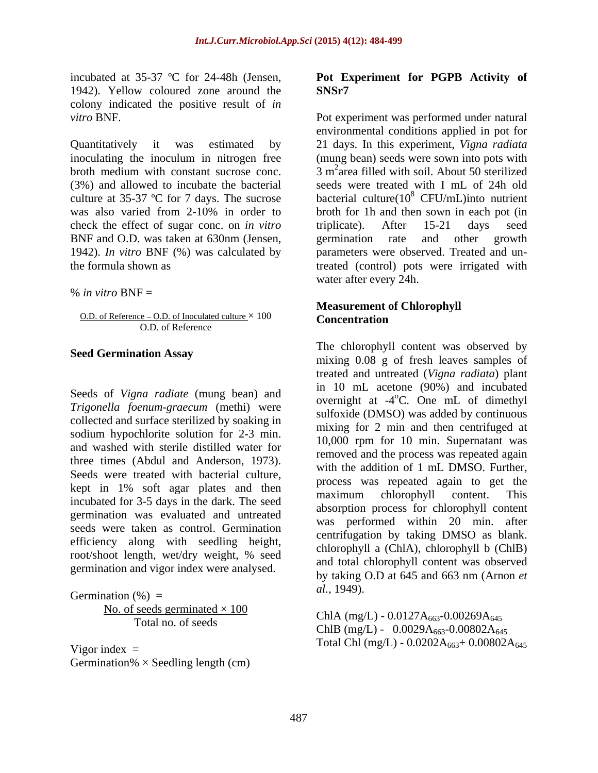1942). Yellow coloured zone around the **SNSr7** colony indicated the positive result of *in* 

inoculating the inoculum in nitrogen free check the effect of sugar conc. on *in vitro* implicate). After 15-21 days seed BNF and O.D. was taken at 630nm (Jensen, egermination rate and other growth 1942). *In vitro* BNF (%) was calculated by

% *in vitro* BNF =

O.D. of Reference – O.D. of Inoculated culture  $\times$  100 Concentration O.D. of Reference

Seeds of *Vigna radiate* (mung bean) and *Trigonella foenum-graecum* (methi) were collected and surface sterilized by soaking in sodium hypochlorite solution for 2-3 min. and washed with sterile distilled water for kept in 1% soft agar plates and then the process was repeated again to get the naximum chlorophyll content. This incubated for 3-5 days in the dark. The seed germination was evaluated and untreated seeds were taken as control. Germination efficiency along with seedling height, germination and vigor index were analysed.

Germination (%) =  $al., 1949$ . No. of seeds germinated  $\times$  100

Germination%  $\times$  Seedling length (cm)

#### incubated at 35-37 ºC for 24-48h (Jensen, **Pot Experiment for PGPB Activity of SNSr7**

*vitro* BNF. Pot experiment was performed under natural Quantitatively it was estimated by 21 days. In this experiment, *Vigna radiata* broth medium with constant sucrose conc.  $\frac{3 \text{ m}^2}{2}$  3 m<sup>2</sup> area filled with soil. About 50 sterilized (3%) and allowed to incubate the bacterial seeds were treated with I mL of 24h old culture at 35-37 °C for 7 days. The sucrose bacterial culture( $10^8$  CFU/mL)into nutrient was also varied from 2-10% in order to broth for 1h and then sown in each pot (in the formula shown as treated (control) pots were irrigated with environmental conditions applied in pot for (mung bean) seeds were sown into pots with <sup>8</sup> CFU/mL)into nutrient broth for 1h and then sown in each pot (in triplicate). After 15-21 days seed germination rate and other growth parameters were observed. Treated and unwater after every 24h.

#### **Measurement of Chlorophyll Concentration**

**Seed Germination Assay**<br>mixing 0.08 g of fresh leaves samples of three times (Abdul and Anderson, 1973).<br>Seeds were treated with bacterial culture,<br>messes was repeated again to get the root/shoot length, wet/dry weight, % seed<br>and total ehlerophyll content wes charged The chlorophyll content was observed by treated and untreated (*Vigna radiata*) plant in 10 mL acetone (90%) and incubated overnight at -4<sup>o</sup>C. One mL of dimethyl oC. One mL of dimethyl sulfoxide (DMSO) was added by continuous mixing for 2 min and then centrifuged at 10,000 rpm for 10 min. Supernatant was removed and the process was repeated again with the addition of 1 mL DMSO. Further, process was repeated again to get the maximum chlorophyll content. This absorption process for chlorophyll content was performed within 20 min. after centrifugation by taking DMSO as blank. chlorophyll a (ChlA), chlorophyll b (ChlB) and total chlorophyll content was observed by taking O.D at 645 and 663 nm (Arnon *et al.,* 1949).

Total no. of seeds<br>
ChlB (mg/L) -  $0.0029A_{663}$ -0.00802A<sub>645</sub> Vigor index =  $Total Chl (mg/L) - 0.0202A_{663} + 0.00802A_{645}$ ChlA (mg/L) -  $0.0127A_{663} - 0.00269A_{645}$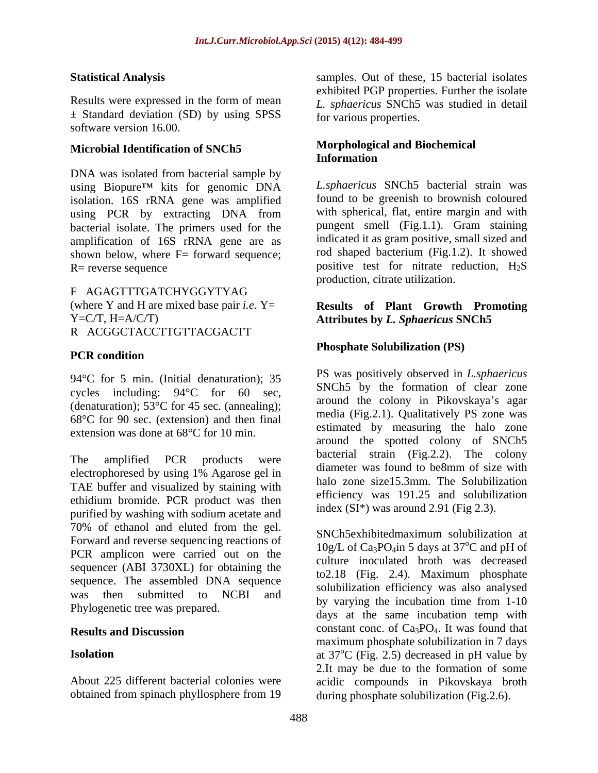$\pm$  Standard deviation (SD) by using SPSS software version 16.00.

## Microbial Identification of SNCh5<br>Information

DNA was isolated from bacterial sample by using Biopure<sup>TM</sup> kits for genomic DNA isolation. 16S rRNA gene was amplified using PCR by extracting DNA from bacterial isolate. The primers used for the amplification of 16S rRNA gene are as shown below, where  $F=$  forward sequence;

F AGAGTTTGATCHYGGYTYAG (where Y and H are mixed base pair *i.e.* Y= R ACGGCTACCTTGTTACGACTT

### **PCR** condition

94°C for 5 min. (Initial denaturation); 35 cycles including: 94°C for 60 sec, (denaturation); 53°C for 45 sec. (annealing); 68°C for 90 sec. (extension) and then final extension was done at 68°C for 10 min.

electrophoresed by using 1% Agarose gel in diameter was found to be8mm of size with TAE buffer and visualized by staining with ethidium bromide. PCR product was then purified by washing with sodium acetate and 70% of ethanol and eluted from the gel. Forward and reverse sequencing reactions of PCR amplicon were carried out on the sequencer (ABI 3730XL) for obtaining the sequence. The assembled DNA sequence Phylogenetic tree was prepared.

**Statistical Analysis** samples. Out of these, 15 bacterial isolates Results were expressed in the form of mean *L. sphaericus* SNCh5 was studied in detail exhibited PGP properties. Further the isolate for various properties.

### **Morphological and Biochemical Information**

 $R$ = reverse sequence  $\sim$  positive test for nitrate reduction,  $H_2S$ *L.sphaericus* SNCh5 bacterial strain was found to be greenish to brownish coloured with spherical, flat, entire margin and with pungent smell (Fig.1.1). Gram staining indicated it as gram positive, small sized and rod shaped bacterium (Fig.1.2). It showed production, citrate utilization.

#### Y=C/T, H=A/C/T) **Attributes by** *L. Sphaericus* **SNCh5 Results of Plant Growth Promoting**

### **Phosphate Solubilization (PS)**

The amplified PCR products were  $\frac{64 \text{cm}}{11}$  suggests and  $\frac{118.2.2}{116}$  colony PS was positively observed in *L.sphaericus* SNCh5 by the formation of clear zone around the colony in Pikovskaya's agar media (Fig.2.1). Qualitatively PS zone was estimated by measuring the halo zone around the spotted colony of SNCh5 bacterial strain (Fig.2.2). The colony diameter was found to be8mm of size with halo zone size15.3mm. The Solubilization efficiency was 191.25 and solubilization index  $(SI^*)$  was around 2.91 (Fig 2.3).

was then submitted to NCBI and by very the ineutration time from 1.10 **Results and Discussion** constant conc. of Ca<sub>3</sub>PO<sub>4</sub>. It was found that **Isolation** at 37<sup>o</sup>C (Fig. 2.5) decreased in pH value by About 225 different bacterial colonies were acidic compounds in Pikovskaya broth obtained from spinach phyllosphere from 19 during phosphate solubilization (Fig.2.6). SNCh5exhibitedmaximum solubilization at  $10g/L$  of Ca<sub>3</sub>PO<sub>4</sub>in 5 days at 37<sup>o</sup>C and pH of culture inoculated broth was decreased to2.18 (Fig. 2.4). Maximum phosphate solubilization efficiency was also analysed by varying the incubation time from 1-10 days at the same incubation temp with maximum phosphate solubilization in 7 days 2.It may be due to the formation of some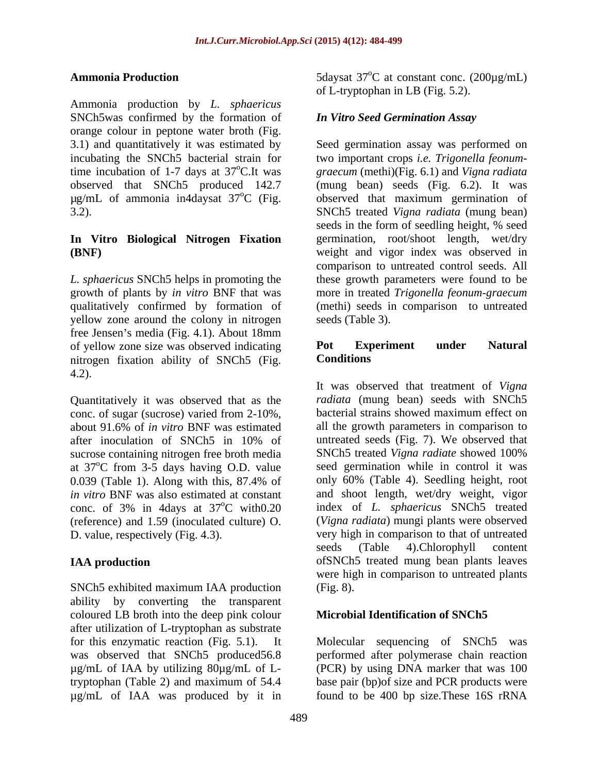Ammonia production by *L. sphaericus* SNCh5was confirmed by the formation of orange colour in peptone water broth (Fig. 3.1) and quantitatively it was estimated by

# **In Vitro Biological Nitrogen Fixation**

yellow zone around the colony in nitrogen free Jensen's media (Fig. 4.1). About  $18 \text{mm}$ <br>of yellow zone size was observed indicating **Pot** Experiment of yellow zone size was observed indicating **Pot Experiment under Natural** nitrogen fixation ability of SNCh5 (Fig. 4.2).

Quantitatively it was observed that as the conc. of sugar (sucrose) varied from 2-10%, sucrose containing nitrogen free broth media SNCh5 treated Vigna radiate showed 100% at  $37^{\circ}$ C from 3-5 days having O.D. value (reference) and 1.59 (inoculated culture) O.

SNCh5 exhibited maximum IAA production (Fig. 8). ability by converting the transparent coloured LB broth into the deep pink colour after utilization of L-tryptophan as substrate for this enzymatic reaction (Fig. 5.1). It Molecular sequencing of SNCh5 was was observed that SNCh5 produced56.8 performed after polymerase chain reaction µg/mL of IAA by utilizing 80µg/mL of L-(PCR) by using DNA marker that was 100 tryptophan (Table 2) and maximum of 54.4 base pair (bp)of size and PCR products were µg/mL of IAA was produced by it in

**Ammonia Production** 5daysat 37<sup>o</sup>C at constant conc. (200μg/mL)  $\rm{^{\circ}C}$  at constant conc. (200 $\mu$ g/mL) of L-tryptophan in LB (Fig. 5.2).

### *In Vitro Seed Germination Assay*

incubating the SNCh5 bacterial strain for two important crops *i.e. Trigonella feonum* time incubation of 1-7 days at 37<sup>o</sup>C.It was graecum (methi)(Fig. 6.1) and *Vigna radiata* observed that SNCh5 produced 142.7 (mung bean) seeds (Fig. 6.2). It was µg/mL of ammonia in4daysat 37 oC (Fig. observed that maximum germination of 3.2). SNCh5 treated *Vigna radiata* (mung bean) **(BNF)** weight and vigor index was observed in *L. sphaericus* SNCh5 helps in promoting the these growth parameters were found to be growth of plants by *in vitro* BNF that was more in treated *Trigonella feonum-graecum* qualitatively confirmed by formation of (methi) seeds in comparison to untreated Seed germination assay was performed on seeds in the form of seedling height, % seed germination, root/shoot length, wet/dry comparison to untreated control seeds. All seeds (Table 3).

### **Pot Experiment under Natural Conditions**

about 91.6% of *in vitro* BNF was estimated after inoculation of SNCh5 in 10% of untreated seeds (Fig. 7). We observed that oC from 3-5 days having O.D. value seed germination while in control it was 0.039 (Table 1). Along with this, 87.4% of only 60% (Table 4). Seedling height, root *in vitro* BNF was also estimated at constant and shoot length, wet/dry weight, vigor conc. of 3% in 4days at  $37^{\circ}$ C with $0.20$  index of *L. sphaericus* SNCh5 treated oC with0.20 index of *L. sphaericus* SNCh5 treated D. value, respectively (Fig. 4.3). very high in comparison to that of untreated **IAA production** of SNCh5 treated mung bean plants leaves It was observed that treatment of *Vigna radiata* (mung bean) seeds with SNCh5 bacterial strains showed maximum effect on all the growth parameters in comparison to untreated seeds (Fig. 7). We observed that SNCh5 treated *Vigna radiate* showed 100% only 60% (Table 4). Seedling height, root (*Vigna radiata*) mungi plants were observed seeds (Table 4).Chlorophyll content were high in comparison to untreated plants (Fig. 8).

### **Microbial Identification of SNCh5**

found to be  $400$  bp size. These  $16S$  rRNA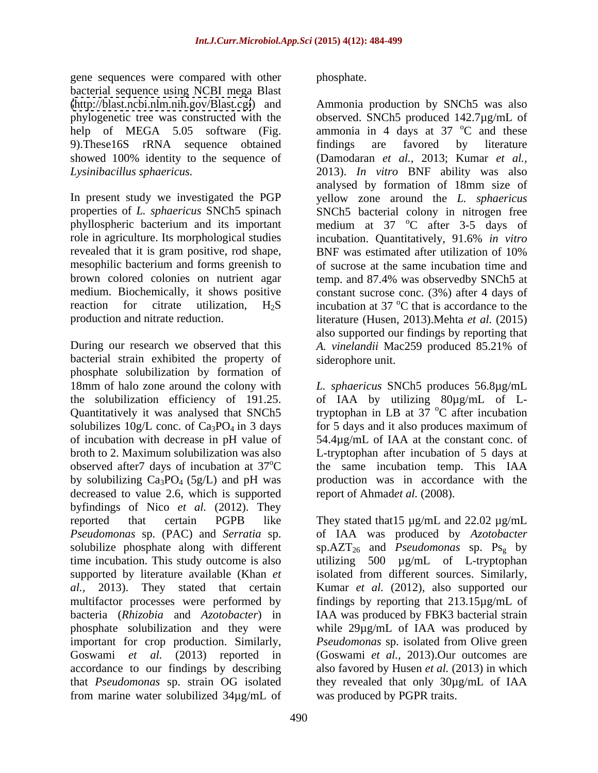gene sequences were compared with other bacterial sequence using NCBI mega Blast 9).These16S rRNA sequence obtained showed 100% identity to the sequence of

role in agriculture. Its morphological studies incubation. Quantitatively, 91.6% in vitro revealed that it is gram positive, rod shape, BNF was estimated after utilization of 10% mesophilic bacterium and forms greenish to<br>brown colored colonies on nutrient agar

During our research we observed that this A. vinelandii Mac259 produced 85.21% of bacterial strain exhibited the property of phosphate solubilization by formation of 18mm of halo zone around the colony with *L. sphaericus* SNCh5 produces 56.8µg/mL the solubilization efficiency of 191.25. of IAA by utilizing 80µg/mL of L-Quantitatively it was analysed that SNCh5 tryptophan in LB at 37 °C after incubation solubilizes  $10g/L$  conc. of  $Ca<sub>3</sub>PO<sub>4</sub>$  in 3 days for 5 days and it also produces maximum of of incubation with decrease in pH value of 54.4µg/mL of IAA at the constant conc. of broth to 2. Maximum solubilization was also L-tryptophan after incubation of 5 days at observed after7 days of incubation at 37 by solubilizing  $Ca_3PO_4$  (5g/L) and pH was decreased to value 2.6, which is supported byfindings of Nico *et al.* (2012). They reported that certain PGPB like They stated that15 µg/mL and 22.02 µg/mL *Pseudomonas* sp. (PAC) and *Serratia* sp. of IAA was produced by *Azotobacter* solubilize phosphate along with different sp.AZT26 and *Pseudomonas* sp. Psg by time incubation. This study outcome is also utilizing 500 µg/mL of L-tryptophan supported by literature available (Khan *et*  isolated from different sources. Similarly, *al.,* 2013). They stated that certain Kumar *et al.* (2012), also supported our multifactor processes were performed by findings by reporting that 213.15µg/mL of bacteria (*Rhizobia* and *Azotobacter*) in IAA was produced by FBK3 bacterial strain phosphate solubilization and they were while 29µg/mL of IAA was produced by important for crop production. Similarly, *Pseudomonas* sp. isolated from Olive green Goswami *et al.* (2013) reported in (Goswami *et al.,* 2013).Our outcomes are accordance to our findings by describing also favored by Husen *et al.* (2013) in which that *Pseudomonas* sp. strain OG isolated they revealed that only 30µg/mL of IAA from marine water solubilized 34µg/mL of

phosphate.

[\(http://blast.ncbi.nlm.nih.gov/Blast.cgi](http://blast.ncbi.nlm.nih.gov/Blast.cgi)) and Ammonia production by SNCh5 was also phylogenetic tree was constructed with the observed. SNCh5 produced 142.7µg/mL of help of MEGA 5.05 software (Fig. ammonia in 4 days at 37  $\degree$ C and these *Lysinibacillus sphaericus.* 2013). *In vitro* BNF ability was also In present study we investigated the PGP yellow zone around the *L. sphaericus* properties of *L. sphaericus* SNCh5 spinach SNCh5 bacterial colony in nitrogen free phyllospheric bacterium and its important medium at 37 °C after 3-5 days of brown colored colonies on nutrient agar temp. and 87.4% was observedby SNCh5 at medium. Biochemically, it shows positive constant sucrose conc. (3%) after 4 days of reaction for citrate utilization,  $H_2S$  incubation at 37 °C that is accordance to the production and nitrate reduction. literature (Husen, 2013).Mehta *et al.* (2015) <sup>o</sup>C and these findings are favored by literature (Damodaran *et al.,* 2013; Kumar *et al.,* analysed by formation of 18mm size of oC after 3-5 days of incubation. Quantitatively, 91.6% *in vitro* BNF was estimated after utilization of 10% of sucrose at the same incubation time and <sup>o</sup>C that is accordance to the also supported our findings by reporting that *A. vinelandii* Mac259 produced 85.21% of siderophore unit.

oC the same incubation temp. This IAA <sup>o</sup>C after incubation for 5 days and it also produces maximum of production was in accordance with the report of Ahmadet al. (2008).

was produced by PGPR traits.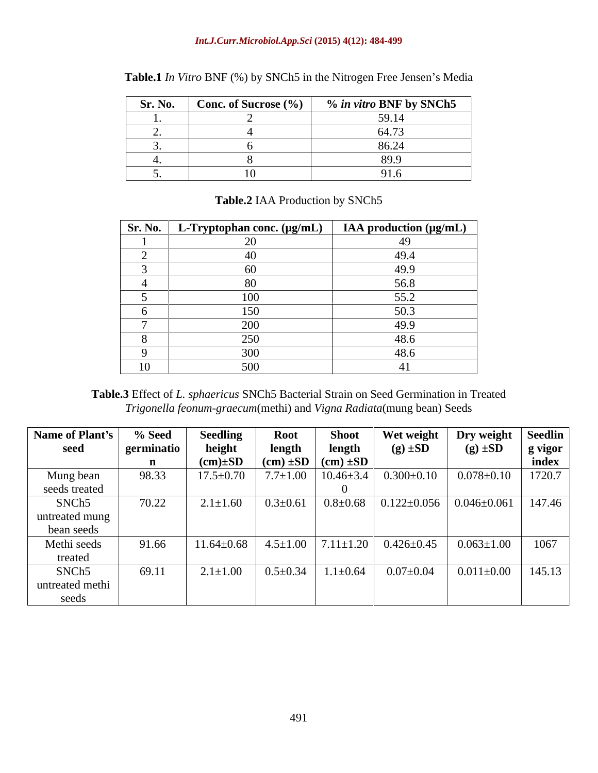#### *Int.J.Curr.Microbiol.App.Sci* **(2015) 4(12): 484-499**

| <b>Sr. No.</b> Conc. of Sucrose $\left(\frac{\%}{\%}\right)$ | % in vitro BNF by SNCh5 |
|--------------------------------------------------------------|-------------------------|
|                                                              | $F \cap 1$              |
|                                                              | $\sim$ 1 $\sim$         |
|                                                              | o∪.∠                    |
|                                                              | $\circ$ $\circ$         |
|                                                              |                         |

Table.1 *In Vitro* BNF (%) by SNCh5 in the Nitrogen Free Jensen's Media

| Sr. No. | $\gamma$ ophan conc. (µg/mL)<br>11 L | IAA production $(\mu g/mL)$ |
|---------|--------------------------------------|-----------------------------|
|         |                                      |                             |
|         |                                      | 49.4                        |

3 60 49.9 4 80 56.8 5 100 55.2 6 150 50.3 7 200 49.9 8 250 48.6 9 300 48.6 10  $10$  500 41

#### **Table.2** IAA Production by SNCh5

**Table.3** Effect of *L. sphaericus* SNCh5 Bacterial Strain on Seed Germination in Treated *Trigonella feonum-graecum*(methi) and *Vigna Radiata*(mung bean) Seeds

| Name of Plant's   | % Seed     | <b>Seedling</b> | <b>Root</b>                                     | Shoot                            | Wet weight                                                             | Dry weight   Seedlin                    |                 |
|-------------------|------------|-----------------|-------------------------------------------------|----------------------------------|------------------------------------------------------------------------|-----------------------------------------|-----------------|
| seed              | germinatio | height          | length                                          | length                           | $(g) \pm SD$                                                           | $(g) \pm SD$                            | $\vert$ g vigor |
|                   |            | $(cm) \pm SD$   | $\vert$ (cm) $\pm SD \vert$ (cm) $\pm SD \vert$ |                                  |                                                                        |                                         | index           |
| Mung bean         | 98.33      | $17.5 \pm 0.70$ |                                                 | $7.7 \pm 1.00$   10.46 $\pm 3.4$ | $0.300 \pm 0.10$                                                       | $0.078 \pm 0.10$                        | 1720.7          |
| seeds treated     |            |                 |                                                 |                                  |                                                                        |                                         |                 |
| SNCh <sub>5</sub> | 70.22      | $2.1 \pm 1.60$  | $0.3 \pm 0.61$                                  | $0.8 \pm 0.68$                   |                                                                        | $\vert$ 0.122±0.056 $\vert$ 0.046±0.061 | 147.46          |
| untreated mung    |            |                 |                                                 |                                  |                                                                        |                                         |                 |
| bean seeds        |            |                 |                                                 |                                  |                                                                        |                                         |                 |
| Methi seeds       | 91.66      |                 |                                                 |                                  | $11.64 \pm 0.68$   $4.5 \pm 1.00$   $7.11 \pm 1.20$   $0.426 \pm 0.45$ | $0.063 \pm 1.00$                        | 1067            |
| treated           |            |                 |                                                 |                                  |                                                                        |                                         |                 |
| SNCh <sub>5</sub> | 69.11      | $2.1 \pm 1.00$  | $0.5 \pm 0.34$                                  | $1.1 \pm 0.64$                   | $0.07 \pm 0.04$                                                        | $0.011 \pm 0.00$                        | 145.13          |
| untreated methi   |            |                 |                                                 |                                  |                                                                        |                                         |                 |
| seeds             |            |                 |                                                 |                                  |                                                                        |                                         |                 |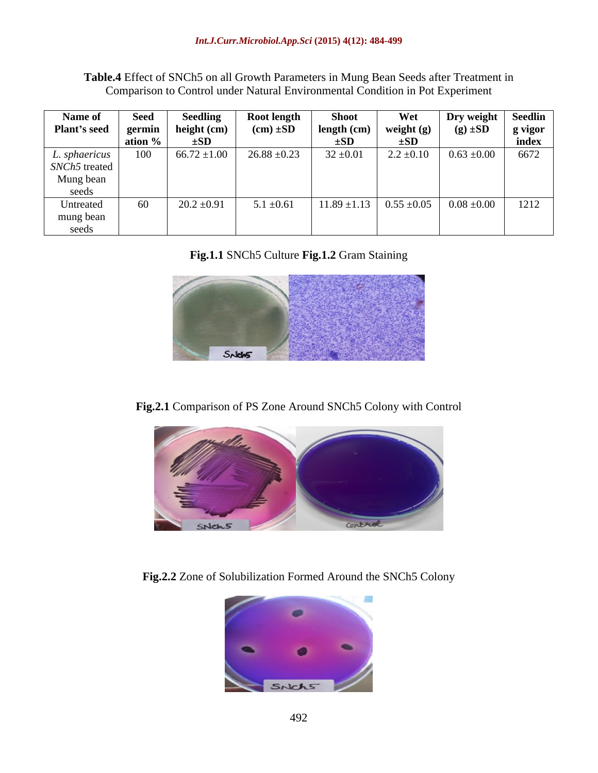**Table.4** Effect of SNCh5 on all Growth Parameters in Mung Bean Seeds after Treatment in Comparison to Control under Natural Environmental Condition in Pot Experiment

|                           |                       | Name of Seed Seedling<br>Plant's seed germin height (cm) | <b>Root length</b>                              | <b>Shoot</b>                                                                                                               | Wet Dry weight Seedlin          |       |
|---------------------------|-----------------------|----------------------------------------------------------|-------------------------------------------------|----------------------------------------------------------------------------------------------------------------------------|---------------------------------|-------|
|                           |                       |                                                          | $(cm) \pm SD$                                   | $\begin{array}{ c c c c c } \hline \text{length (cm)} & \text{weight (g)} \\ \hline \pm SD & \pm SD \\ \hline \end{array}$ | $(g) \pm SD$ g vigor            |       |
|                           | $\frac{1}{2}$ ation % | $\pm SD$                                                 |                                                 |                                                                                                                            |                                 | index |
|                           |                       |                                                          | L. sphaericus   100   66.72 ±1.00   26.88 ±0.23 | $32 \pm 0.01$                                                                                                              | $2.2 \pm 0.10$ 0.63 $\pm 0.00$  | 6672  |
| SNCh <sub>5</sub> treated |                       |                                                          |                                                 |                                                                                                                            |                                 |       |
| Mung bean                 |                       |                                                          |                                                 |                                                                                                                            |                                 |       |
| seeds                     |                       |                                                          |                                                 |                                                                                                                            |                                 |       |
| Untreated                 | 60                    | $20.2 \pm 0.91$                                          | $5.1 \pm 0.61$                                  | $11.89 \pm 1.13$                                                                                                           | $0.55 \pm 0.05$ 0.08 $\pm 0.00$ | 1212  |
| mung bean                 |                       |                                                          |                                                 |                                                                                                                            |                                 |       |
| seeds                     |                       |                                                          |                                                 |                                                                                                                            |                                 |       |

### **Fig.1.1** SNCh5 Culture **Fig.1.2** Gram Staining



### **Fig.2.1** Comparison of PS Zone Around SNCh5 Colony with Control



**Fig.2.2** Zone of Solubilization Formed Around the SNCh5 Colony

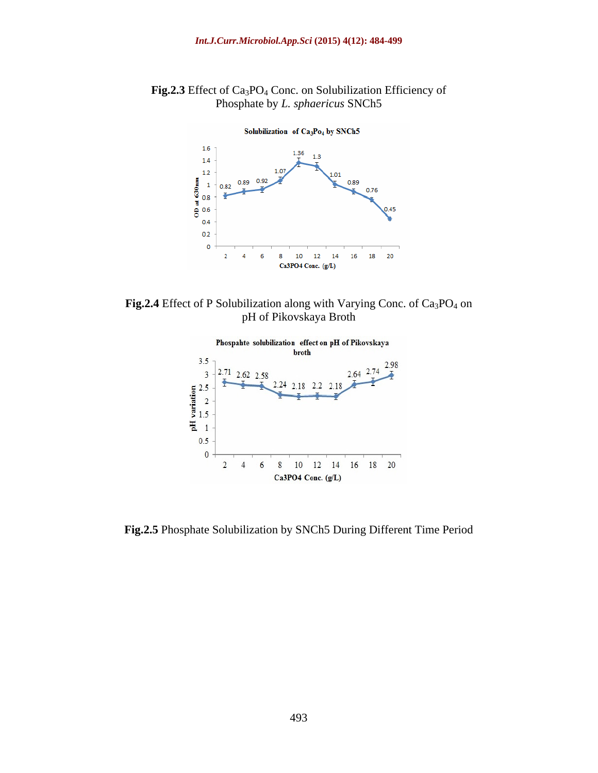

**Fig.2.3** Effect of Ca3PO4 Conc. on Solubilization Efficiency of Phosphate by *L. sphaericus* SNCh5

Fig.2.4 Effect of P Solubilization along with Varying Conc. of Ca<sub>3</sub>PO<sub>4</sub> on pH of Pikovskaya Broth



**Fig.2.5** Phosphate Solubilization by SNCh5 During Different Time Period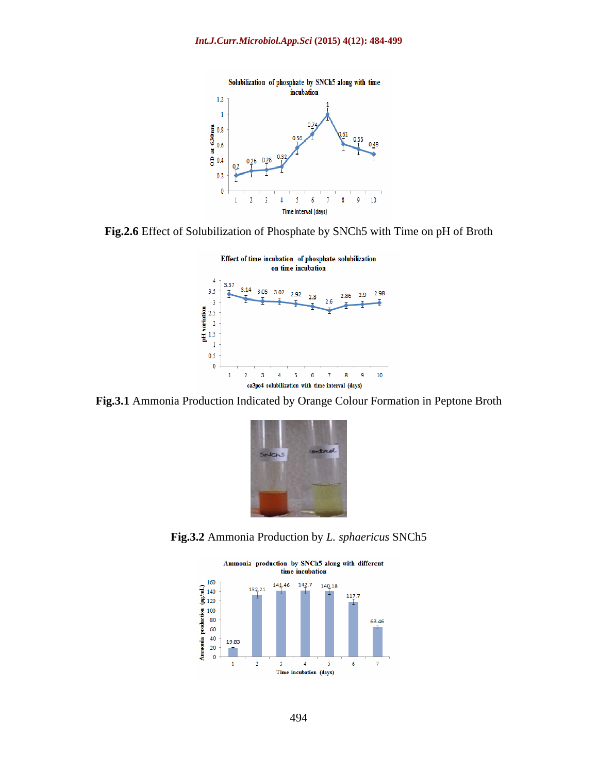

**Fig.2.6** Effect of Solubilization of Phosphate by SNCh5 with Time on pH of Broth



**Fig.3.1** Ammonia Production Indicated by Orange Colour Formation in Peptone Broth



**Fig.3.2** Ammonia Production by *L. sphaericus* SNCh5

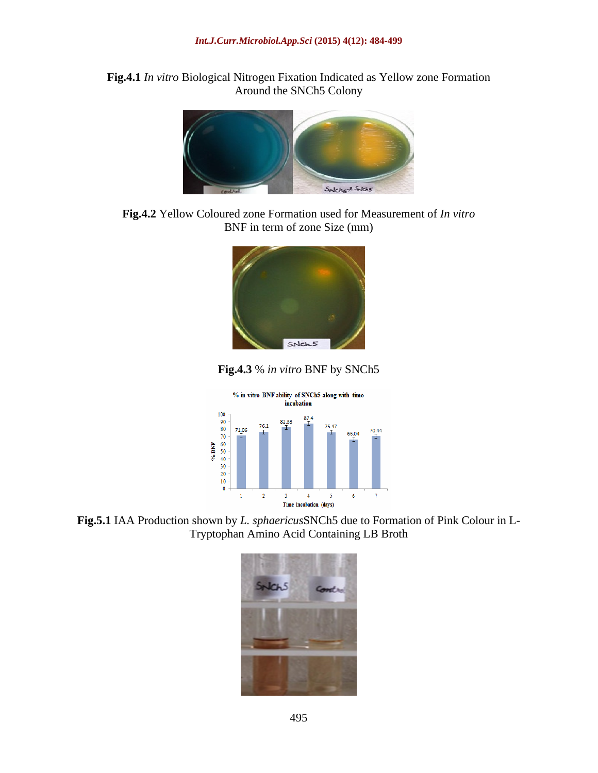**Fig.4.1** *In vitro* Biological Nitrogen Fixation Indicated as Yellow zone Formation Around the SNCh5 Colony



**Fig.4.2** Yellow Coloured zone Formation used for Measurement of *In vitro* BNF in term of zone Size (mm)



**Fig.4.3** % *in vitro* BNF by SNCh5



**Fig.5.1** IAA Production shown by *L. sphaericus*SNCh5 due to Formation of Pink Colour in L- Tryptophan Amino Acid Containing LB Broth

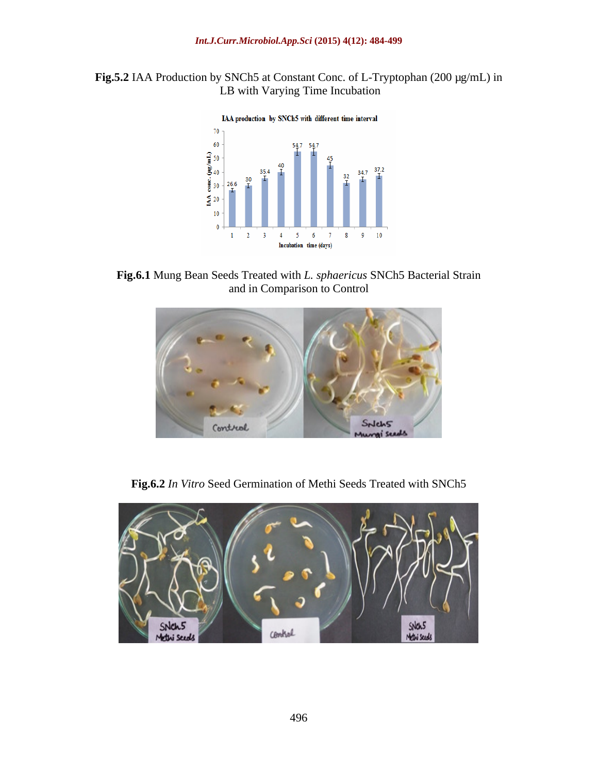



**Fig.6.1** Mung Bean Seeds Treated with *L. sphaericus* SNCh5 Bacterial Strain and in Comparison to Control



**Fig.6.2** *In Vitro* Seed Germination of Methi Seeds Treated with SNCh5

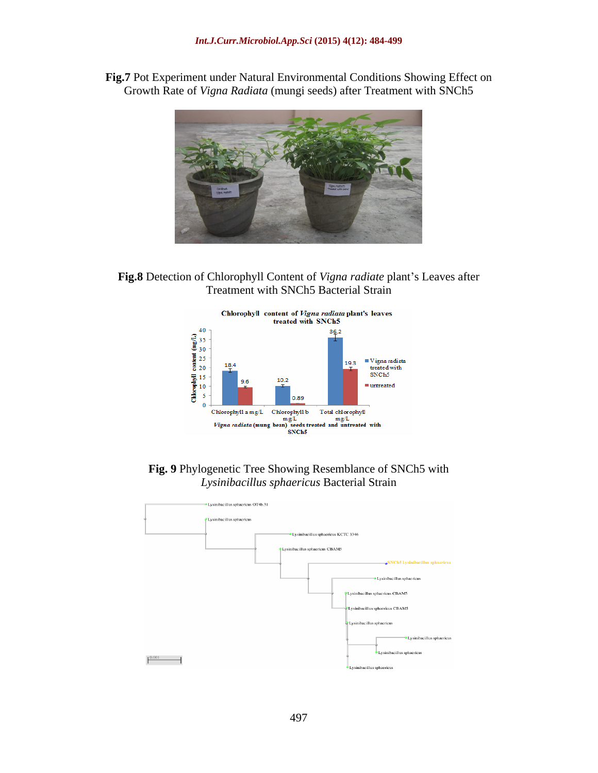**Fig.7** Pot Experiment under Natural Environmental Conditions Showing Effect on Growth Rate of *Vigna Radiata* (mungi seeds) after Treatment with SNCh5



Fig.8 Detection of Chlorophyll Content of *Vigna radiate* plant's Leaves after Treatment with SNCh5 Bacterial Strain



**Fig. 9** Phylogenetic Tree Showing Resemblance of SNCh5 with *Lysinibacillus sphaericus* Bacterial Strain

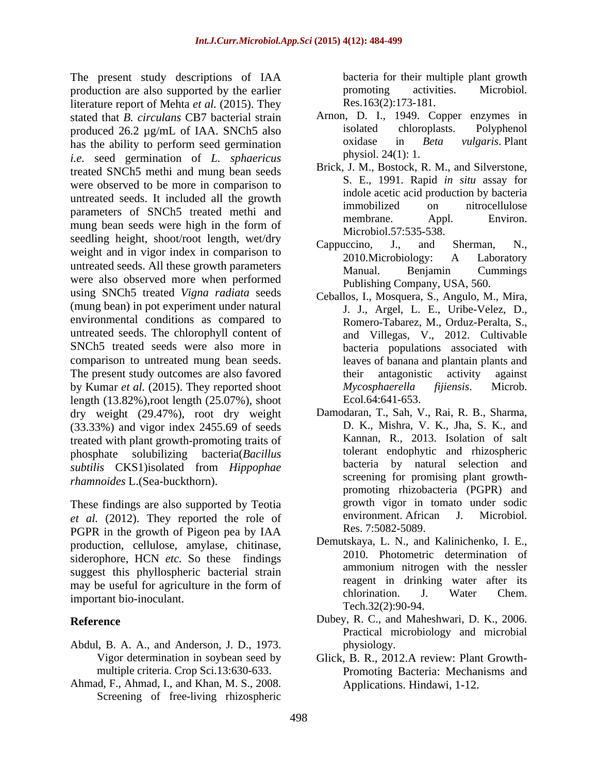The present study descriptions of IAA production are also supported by the earlier **promotion** activities. Microbiol. literature report of Mehta *et al.* (2015). They stated that *B. circulans* CB7 bacterial strain a strain Arnon, D. I., 1949. Copper enzymes in produced 26.2 ug/mL of IAA SNCb5 also isolated chloroplasts. Polyphenol produced 26.2 µg/mL of IAA. SNCh5 also isolated chloroplasts. Polyphenol<br>has the ability to perform seed germination oxidase in *Beta vulgaris*. Plant has the ability to perform seed germination *i.e.* seed germination of *L. sphaericus* treated SNCh5 methi and mung bean seeds were observed to be more in comparison to untreated seeds. It included all the growth immobilized on nitrocellulose parameters of SNCh5 treated methi and membrane. Appl. Environ. mung bean seeds were high in the form of seedling height, shoot/root length, wet/dry<br>Cappuccino, J., and Sherman, N., weight and in vigor index in comparison to  $\frac{Cappacenio}{2010.Microbiology}$ . A Laboratory untreated seeds. All these growth parameters Manual. Benjamin Cummings were also observed more when performed using SNCh5 treated *Vigna radiata* seeds (mung bean) in pot experiment under natural environmental conditions as compared to untreated seeds. The chlorophyll content of SNCh5 treated seeds were also more in comparison to untreated mung bean seeds. The present study outcomes are also favored their antagonistic activity against by Kumar *et al.* (2015). They reported shoot length (13.82%),root length (25.07%), shoot dry weight (29.47%), root dry weight (33.33%) and vigor index 2455.69 of seeds treated with plant growth-promoting traits of *subtilis* CKS1)isolated from *Hippophae rhamnoides* L.(Sea-buckthorn).

These findings are also supported by Teotia error growth vigor in tomato under sodic<br>
et al. (2012) They reported the role of environment African J. Microbiol. *et al.* (2012). They reported the role of PGPR in the growth of Pigeon pea by IAA production, cellulose, amylase, chitinase, siderophore, HCN *etc.* So these findings 2010. Photometric determination of ammonium nitrogen with the nessler suggest this phyllospheric bacterial strain may be useful for agriculture in the form of the reagent in drinking water after its<br>chlorination. J. Water Chem. important bio-inoculant.

- Abdul, B. A. A., and Anderson, J. D., 1973.
- Ahmad, F., Ahmad, I., and Khan, M. S., 2008. Screening of free-living rhizospheric

bacteria for their multiple plant growth promoting activities. Microbiol. Res.163(2):173-181.

- Arnon, D. I., 1949. Copper enzymes in isolated chloroplasts. Polyphenol oxidase in *Beta vulgaris*. Plant physiol. 24(1): 1.
- Brick, J. M., Bostock, R. M., and Silverstone, S. E., 1991. Rapid *in situ* assay for indole acetic acid production by bacteria immobilized on nitrocellulose membrane. Appl. Environ. Microbiol.57:535-538.
- Cappuccino, J., and Sherman, N., 2010.Microbiology: A Laboratory Manual. Benjamin Cummings Publishing Company, USA, 560.
- Ceballos, I., Mosquera, S., Angulo, M., Mira, J. J., Argel, L. E., Uribe-Velez, D., Romero-Tabarez, M., Orduz-Peralta, S., and Villegas, V., 2012. Cultivable bacteria populations associated with leaves of banana and plantain plants and their antagonistic activity against *Mycosphaerella fijiensis*. Microb. Ecol.64:641-653.
- phosphate solubilizing bacteria(*Bacillus*  tolerant endophytic and rhizospheric Damodaran, T., Sah, V., Rai, R. B., Sharma, D. K., Mishra, V. K., Jha, S. K., and Kannan, R., 2013. Isolation of salt bacteria by natural selection and screening for promising plant growth promoting rhizobacteria (PGPR) and growth vigor in tomato under sodic environment. African Res. 7:5082-5089.
	- Demutskaya, L. N., and Kalinichenko, I. E., 2010. Photometric determination of ammonium nitrogen with the nessler reagent in drinking water after its chlorination. J. Water Chem. Tech.32(2):90-94.
- **Reference** Dubey, R. C., and Maheshwari, D. K., 2006. Practical microbiology and microbial physiology.
	- Vigor determination in soybean seed by Glick, B. R., 2012.A review: Plant Growth multiple criteria. Crop Sci.13:630-633. Promoting Bacteria: Mechanisms and Applications. Hindawi, 1-12.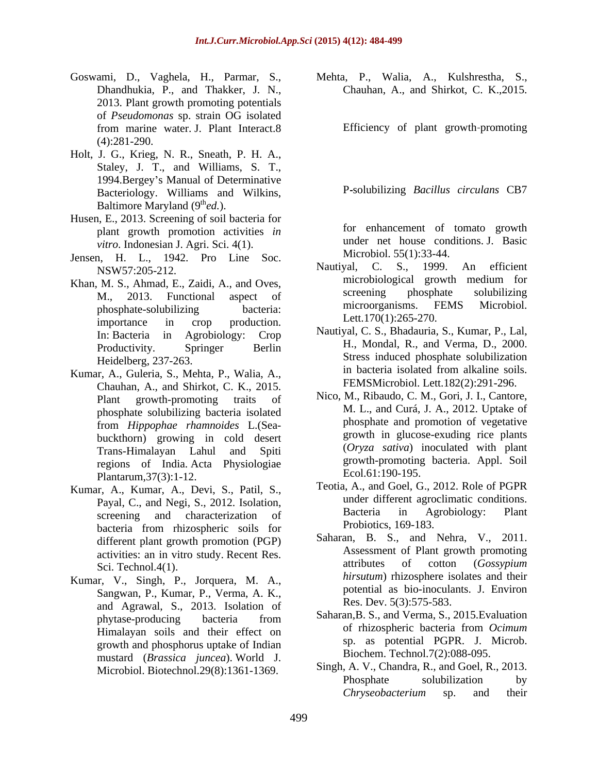- 2013. Plant growth promoting potentials of *Pseudomonas* sp. strain OG isolated from marine water. J. Plant Interact.8 (4):281-290.
- Holt, J. G., Krieg, N. R., Sneath, P. H. A., Staley, J. T., and Williams, S. T., 1994.Bergey s Manual of Determinative Bacteriology. Williams and Wilkins, Baltimore Maryland (9<sup>th</sup>ed.).
- Husen, E., 2013. Screening of soil bacteria for plant growth promotion activities *in vitro*. Indonesian J. Agri. Sci. 4(1).
- Jensen, H. L., 1942. Pro Line Soc. Microbiol. 55(1):33-44.<br>News2:205.212 Mautival, C. S., 1999. An efficient
- importance in crop production. Lett.  $1/0(1)$ :  $203-2/0$ .
- Chauhan, A., and Shirkot, C. K., 2015. phosphate solubilizing bacteria isolated from *Hippophae rhamnoides* L.(Sea buckthorn) growing in cold desert regions of India. Acta Physiologiae Plantarum,37(3):1-12.
- Kumar, A., Kumar, A., Devi, S., Patil, S., bacteria from rhizospheric soils for **Proposition** Propositions, 109-183. different plant growth promotion (PGP) Sci. Technol.4(1).
- Kumar, V., Singh, P., Jorquera, M. A., Sangwan, P., Kumar, P., Verma, A. K., and Agrawal, S., 2013. Isolation of growth and phosphorus uptake of Indian mustard (*Brassica juncea*). World J.

Goswami, D., Vaghela, H., Parmar, S., Mehta, P., Walia, A., Kulshrestha, S., Dhandhukia, P., and Thakker, J. N., Chauhan, A., and Shirkot, C. K.,2015.

Efficiency of plant growth promoting

P solubilizing *Bacillus circulans* CB7

for enhancement of tomato growth under net house conditions. J. Basic Microbiol. 55(1):33-44.

- NSW57:205-212.<br>M S Ahmad E Zaidi A and Oves microbiological growth medium for Khan, M. S., Ahmad, E., Zaidi, A., and Oves,<br>M. 2013 Eunctional aspect of screening phosphate solubilizing M., 2013. Functional aspect of screening phosphate solubilizing phosphate-solubilizing bacteria: microorganisms. FEMS MICrobiol. Nautiyal, C. S., 1999. An efficient microbiological growth medium for screening phosphate solubilizing microorganisms. FEMS Microbiol. Lett.170(1):265-270.
- In: Bacteria in Agrobiology: Crop Nautiyal, C. S., Bhadauria, S., Kumar, P., Lal, Productivity. Springer Berlin H., Mondal, R., and Verma, D., 2000. Heidelberg, 237-263. Stress induced phosphate solubilization Kumar, A., Guleria, S., Mehta, P., Walia, A., in bacteria isolated from alkaline soils. Nautiyal, C. S., Bhadauria, S., Kumar, P., Lal, H., Mondal, R., and Verma, D., 2000. in bacteria isolated from alkaline soils. FEMSMicrobiol. Lett.182(2):291-296.
	- Plant growth-promoting traits of Nico, M., Ribaudo, C. M., Gori, J. I., Cantore, Trans-Himalayan Lahul and Spiti (*Oryza sativa*) inoculated with plant M. L., and Curá, J. A., 2012. Uptake of phosphate and promotion of vegetative growth in glucose-exuding rice plants (*Oryza sativa*) inoculated with plant growth-promoting bacteria. Appl. Soil Ecol.61:190-195.
	- Payal, C., and Negi, S., 2012. Isolation, and the under different agrocumatic conditions.<br>Bacteria in Agrobiology: Plant screening and characterization of Bacteria in Agrobiology: Plant Teotia, A., and Goel, G., 2012. Role of PGPR under different agroclimatic conditions. Bacteria in Agrobiology: Plant Probiotics, 169-183.
	- activities: an in vitro study. Recent Res.<br>Sci Technol 4(1) attributes of cotton (*Gossypium* Saharan, B. S., and Nehra, V., 2011. Assessment of Plant growth promoting attributes of cotton (*Gossypium hirsutum*) rhizosphere isolates and their potential as bio-inoculants. J. Environ Res. Dev. 5(3):575-583.
	- phytase-producing bacteria from Sanaran, B. S., and Verma, S., 2015. Evaluation Himalayan soils and their effect on of rhizospheric bacteria from Ocimum Saharan,B. S., and Verma, S., 2015.Evaluation of rhizospheric bacteria from *Ocimum* sp. as potential PGPR. J. Microb. Biochem. Technol.7(2):088-095.
	- Microbiol. Biotechnol.29(8):1361-1369. Singh, A. V., Chandra, R., and Goel, R., 2013.<br>Phosphate solubilization by Singh, A. V., Chandra, R., and Goel, R., 2013. Phosphate solubilization by *Chryseobacterium* sp. and their